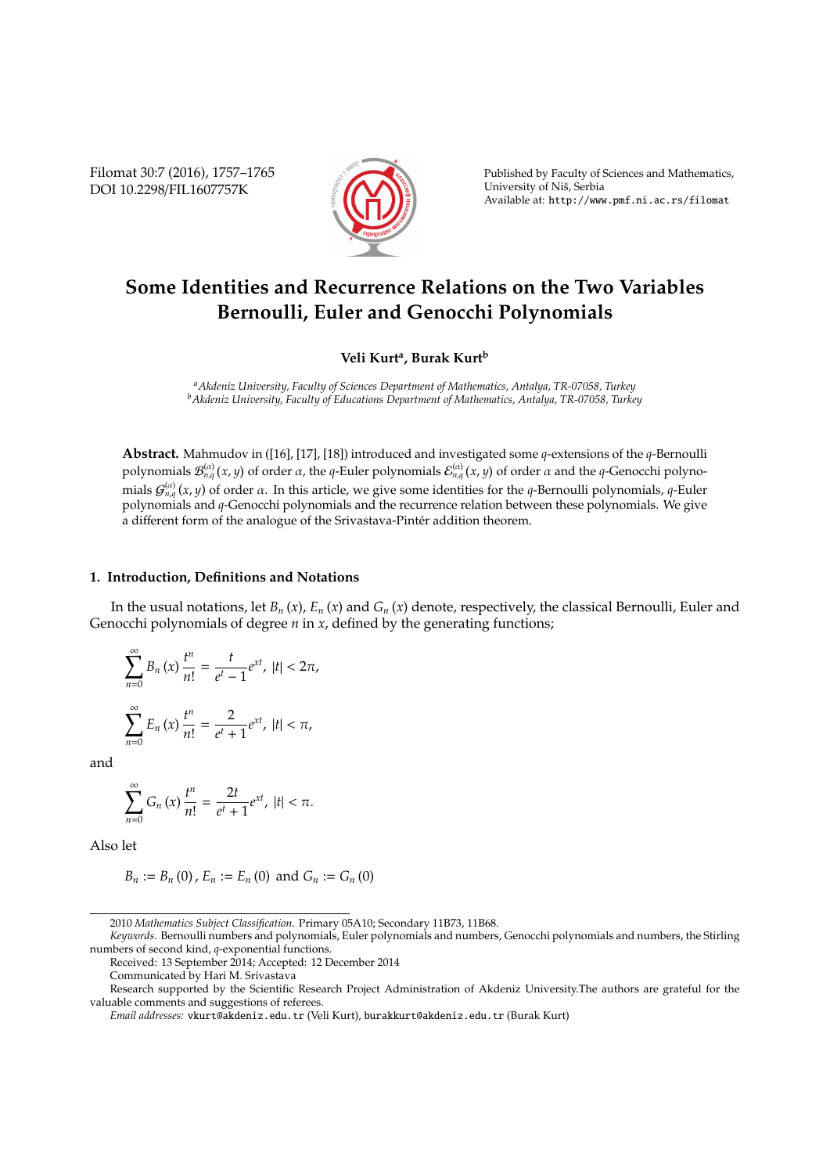Filomat 30:7 (2016), 1757–1765 DOI 10.2298/FIL1607757K



Published by Faculty of Sciences and Mathematics, University of Niš, Serbia Available at: http://www.pmf.ni.ac.rs/filomat

# **Some Identities and Recurrence Relations on the Two Variables Bernoulli, Euler and Genocchi Polynomials**

## **Veli Kurt<sup>a</sup> , Burak Kurt<sup>b</sup>**

*<sup>a</sup>Akdeniz University, Faculty of Sciences Department of Mathematics, Antalya, TR-07058, Turkey <sup>b</sup>Akdeniz University, Faculty of Educations Department of Mathematics, Antalya, TR-07058, Turkey*

**Abstract.** Mahmudov in ([16], [17], [18]) introduced and investigated some *q*-extensions of the *q*-Bernoulli polynomials  $\mathcal{B}^{(\alpha)}_{n,q}(x,y)$  of order  $\alpha$ , the  $q$ -Euler polynomials  $\mathcal{E}^{(\alpha)}_{n,q}(x,y)$  of order  $\alpha$  and the  $q$ -Genocchi polynomials  $G_{n,q}^{(\alpha)}(x,y)$  of order α. In this article, we give some identities for the *q*-Bernoulli polynomials, *q*-Euler polynomials and *q*-Genocchi polynomials and the recurrence relation between these polynomials. We give a different form of the analogue of the Srivastava-Pintér addition theorem.

#### **1. Introduction, Definitions and Notations**

In the usual notations, let  $B_n(x)$ ,  $E_n(x)$  and  $G_n(x)$  denote, respectively, the classical Bernoulli, Euler and Genocchi polynomials of degree *n* in *x*, defined by the generating functions;

$$
\sum_{n=0}^{\infty} B_n(x) \frac{t^n}{n!} = \frac{t}{e^t - 1} e^{xt}, \ |t| < 2\pi,
$$
\n
$$
\sum_{n=0}^{\infty} E_n(x) \frac{t^n}{n!} = \frac{2}{e^t + 1} e^{xt}, \ |t| < \pi,
$$

and

$$
\sum_{n=0}^{\infty} G_n(x) \frac{t^n}{n!} = \frac{2t}{e^t + 1} e^{xt}, \ |t| < \pi.
$$

Also let

 $B_n := B_n(0)$ ,  $E_n := E_n(0)$  and  $G_n := G_n(0)$ 

<sup>2010</sup> *Mathematics Subject Classification*. Primary 05A10; Secondary 11B73, 11B68.

*Keywords*. Bernoulli numbers and polynomials, Euler polynomials and numbers, Genocchi polynomials and numbers, the Stirling numbers of second kind, *q*-exponential functions.

Received: 13 September 2014; Accepted: 12 December 2014

Communicated by Hari M. Srivastava

Research supported by the Scientific Research Project Administration of Akdeniz University.The authors are grateful for the valuable comments and suggestions of referees.

*Email addresses:* vkurt@akdeniz.edu.tr (Veli Kurt), burakkurt@akdeniz.edu.tr (Burak Kurt)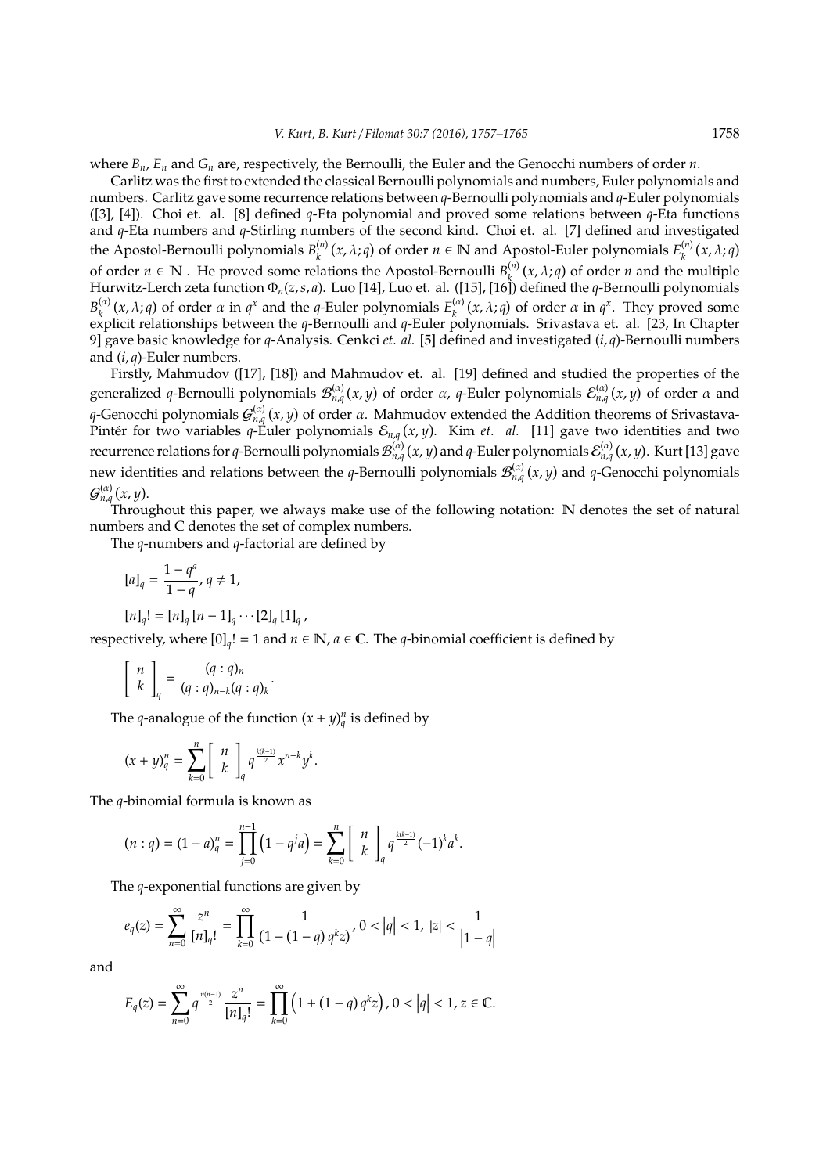where  $B_n$ ,  $E_n$  and  $G_n$  are, respectively, the Bernoulli, the Euler and the Genocchi numbers of order *n*.

Carlitz was the first to extended the classical Bernoulli polynomials and numbers, Euler polynomials and numbers. Carlitz gave some recurrence relations between *q*-Bernoulli polynomials and *q*-Euler polynomials ([3], [4]). Choi et. al. [8] defined *q*-Eta polynomial and proved some relations between *q*-Eta functions and *q*-Eta numbers and *q*-Stirling numbers of the second kind. Choi et. al. [7] defined and investigated the Apostol-Bernoulli polynomials  $B_k^{(n)}$  $\binom{n}{k}$  (*x*,  $\lambda$ ; *q*) of order  $n \in \mathbb{N}$  and Apostol-Euler polynomials  $E_k^{(n)}$  $\binom{n}{k}$   $(x, \lambda; q)$ of order  $n \in \mathbb{N}$  . He proved some relations the Apostol-Bernoulli  $B_k^{(n)}(x, \lambda; q)$  of order *n* and the multiple Hurwitz-Lerch zeta function  $\Phi_n(z,s,a)$ . Luo [14], Luo et. al. ([15], [16]) defined the *q*-Bernoulli polynomials  $B_{\nu}^{(\alpha)}$ *k*<sup>(*x*</sup>,  $\lambda$ ; *q*) of order  $\alpha$  in  $q^x$  and the *q*-Euler polynomials  $E_k^{(\alpha)}$  $\int_{k}^{(\alpha)} (x, \lambda; q)$  of order  $\alpha$  in  $q^x$ . They proved some explicit relationships between the *q*-Bernoulli and *q*-Euler polynomials. Srivastava et. al. [23, In Chapter 9] gave basic knowledge for *q*-Analysis. Cenkci *et. al.* [5] defined and investigated (*i*, *q*)-Bernoulli numbers and (*i*, *q*)-Euler numbers.

Firstly, Mahmudov ([17], [18]) and Mahmudov et. al. [19] defined and studied the properties of the generalized q-Bernoulli polynomials  $\mathcal{B}^{(\alpha)}_{n,q}(x,y)$  of order  $\alpha$ , q-Euler polynomials  $\mathcal{E}^{(\alpha)}_{n,q}(x,y)$  of order  $\alpha$  and *q*-Genocchi polynomials  $\mathcal{G}^{(\alpha)}_{n,q}(x,y)$  of order  $\alpha$ . Mahmudov extended the Addition theorems of Srivastava-Pintér for two variables  $q$ -Euler polynomials  $\mathcal{E}_{n,q}(x,y)$ . Kim *et. al.* [11] gave two identities and two recurrence relations for *q*-Bernoulli polynomials  $\mathcal{B}^{(\alpha)}_{n,q}(x,y)$  and *q*-Euler polynomials  $\mathcal{E}^{(\alpha)}_{n,q}(x,y)$ . Kurt [13] gave new identities and relations between the *q*-Bernoulli polynomials  $\mathcal{B}^{(\alpha)}_{n,q}(x,y)$  and *q*-Genocchi polynomials  $\mathcal{G}_{n,q}^{(\alpha)}(x,y)$ .

Throughout this paper, we always make use of the following notation: N denotes the set of natural numbers and C denotes the set of complex numbers.

The *q*-numbers and *q*-factorial are defined by

$$
[a]_q=\frac{1-q^a}{1-q}, q\neq 1,
$$

$$
[n]_q! = [n]_q [n-1]_q \cdots [2]_q [1]_q,
$$

respectively, where  $[0]_q! = 1$  and  $n \in \mathbb{N}$ ,  $a \in \mathbb{C}$ . The *q*-binomial coefficient is defined by

$$
\left[\begin{array}{c} n \\ k \end{array}\right]_q = \frac{(q:q)_n}{(q:q)_{n-k}(q:q)_k}
$$

The *q*-analogue of the function  $(x + y)_q^n$  is defined by

.

$$
(x+y)_q^n=\sum_{k=0}^n\left[ \begin{array}{c} n \\ k \end{array} \right]_q q^{\frac{k(k-1)}{2}}x^{n-k}y^k.
$$

The *q*-binomial formula is known as

$$
(n:q)=(1-a)_q^n=\prod_{j=0}^{n-1}\left(1-q^j a\right)=\sum_{k=0}^n\left[\begin{array}{c}n\\k\end{array}\right]_q q^{\frac{k(k-1)}{2}}(-1)^k a^k.
$$

The *q*-exponential functions are given by

$$
e_q(z) = \sum_{n=0}^{\infty} \frac{z^n}{[n]_q!} = \prod_{k=0}^{\infty} \frac{1}{(1 - (1 - q)q^k z)}, 0 < |q| < 1, |z| < \frac{1}{|1 - q|}
$$

and

$$
E_q(z)=\sum_{n=0}^\infty q^{\frac{n(n-1)}{2}}\frac{z^n}{[n]_q!}=\prod_{k=0}^\infty \left(1+(1-q) \, q^k z\right), 0<\left|q\right|<1, z\in \mathbb C.
$$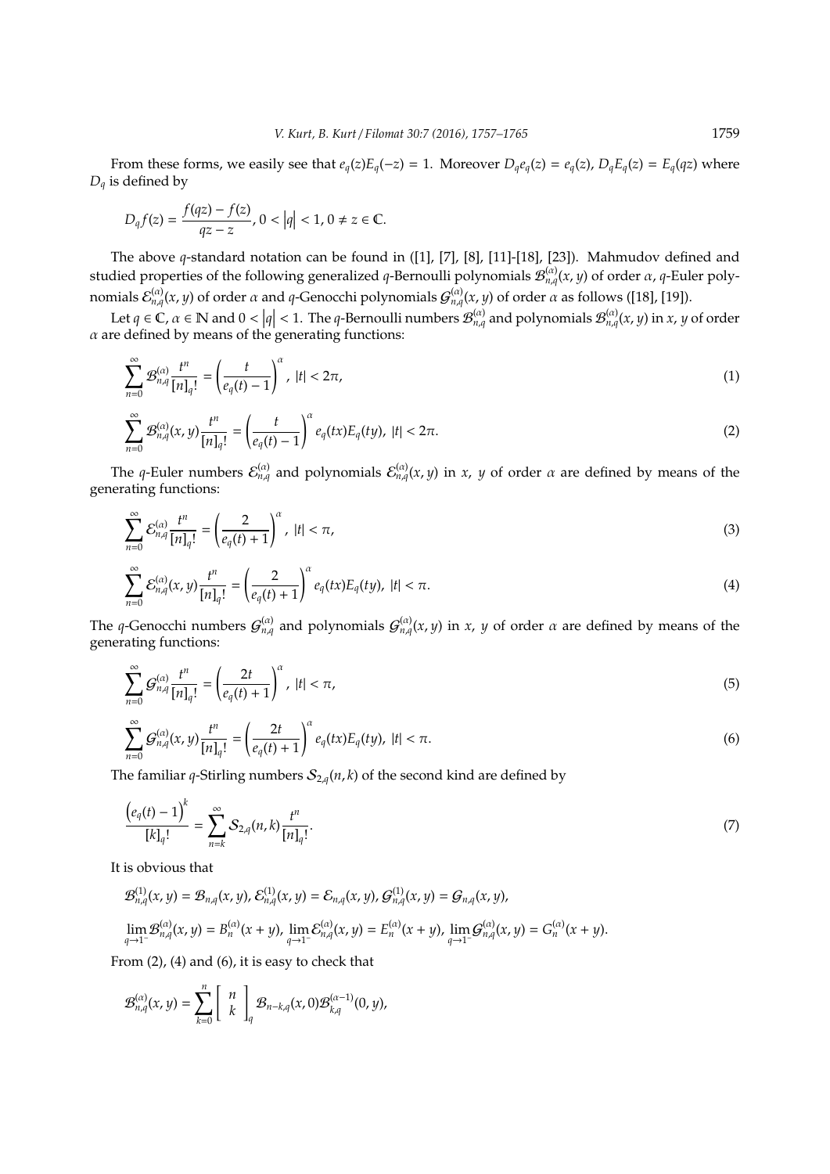From these forms, we easily see that  $e_q(z)E_q(-z) = 1$ . Moreover  $D_qe_q(z) = e_q(z)$ ,  $D_qE_q(z) = E_q(qz)$  where *D<sup>q</sup>* is defined by

$$
D_q f(z) = \frac{f(qz) - f(z)}{qz - z}, 0 < |q| < 1, 0 \neq z \in \mathbb{C}.
$$

The above *q*-standard notation can be found in ([1], [7], [8], [11]-[18], [23]). Mahmudov defined and studied properties of the following generalized *q*-Bernoulli polynomials  $\mathcal{B}^{(\alpha)}_{n,q}(x,y)$  of order  $\alpha$ , *q*-Euler polynomials  $\mathcal{E}_{n,q}^{(\alpha)}(x,y)$  of order  $\alpha$  and  $q$ -Genocchi polynomials  $\mathcal{G}_{n,q}^{(\alpha)}(x,y)$  of order  $\alpha$  as follows ([18], [19]).

Let  $q \in \mathbb{C}$ ,  $\alpha \in \mathbb{N}$  and  $0 < |q| < 1$ . The *q*-Bernoulli numbers  $\mathcal{B}_{n,q}^{(\alpha)}$  and polynomials  $\mathcal{B}_{n,q}^{(\alpha)}(x, y)$  in *x*, *y* of order  $\alpha$  are defined by means of the generating functions:

$$
\sum_{n=0}^{\infty} \mathcal{B}_{n,q}^{(\alpha)} \frac{t^n}{[n]_q!} = \left(\frac{t}{e_q(t)-1}\right)^{\alpha}, \ |t| < 2\pi,\tag{1}
$$

$$
\sum_{n=0}^{\infty} \mathcal{B}_{n,q}^{(\alpha)}(x,y) \frac{t^n}{[n]_q!} = \left(\frac{t}{e_q(t)-1}\right)^{\alpha} e_q(tx) E_q(ty), \ |t| < 2\pi. \tag{2}
$$

The *q*-Euler numbers  $\mathcal{E}_{n,q}^{(\alpha)}$  and polynomials  $\mathcal{E}_{n,q}^{(\alpha)}(x,y)$  in *x*, *y* of order *a* are defined by means of the generating functions:

$$
\sum_{n=0}^{\infty} \mathcal{E}_{n,q}^{(\alpha)} \frac{t^n}{[n]_q!} = \left(\frac{2}{e_q(t)+1}\right)^{\alpha}, \ |t| < \pi,\tag{3}
$$

$$
\sum_{n=0}^{\infty} \mathcal{E}_{n,q}^{(\alpha)}(x,y) \frac{t^n}{[n]_q!} = \left(\frac{2}{e_q(t)+1}\right)^{\alpha} e_q(tx) E_q(ty), \ |t| < \pi. \tag{4}
$$

The *q*-Genocchi numbers  $G_{n,q}^{(\alpha)}$  and polynomials  $G_{n,q}^{(\alpha)}(x,y)$  in *x*, *y* of order  $\alpha$  are defined by means of the generating functions:

$$
\sum_{n=0}^{\infty} \mathcal{G}_{n,q}^{(\alpha)} \frac{t^n}{[n]_q!} = \left(\frac{2t}{e_q(t)+1}\right)^{\alpha}, \ |t| < \pi,\tag{5}
$$

$$
\sum_{n=0}^{\infty} G_{n,q}^{(\alpha)}(x,y) \frac{t^n}{[n]_q!} = \left(\frac{2t}{e_q(t)+1}\right)^{\alpha} e_q(tx) E_q(ty), \ |t| < \pi. \tag{6}
$$

The familiar *q*-Stirling numbers  $S_{2,q}(n, k)$  of the second kind are defined by

$$
\frac{\left(e_q(t)-1\right)^k}{[k]_q!} = \sum_{n=k}^{\infty} \mathcal{S}_{2,q}(n,k) \frac{t^n}{[n]_q!}.\tag{7}
$$

It is obvious that

$$
\mathcal{B}_{n,q}^{(1)}(x,y) = \mathcal{B}_{n,q}(x,y), \mathcal{E}_{n,q}^{(1)}(x,y) = \mathcal{E}_{n,q}(x,y), \mathcal{G}_{n,q}^{(1)}(x,y) = \mathcal{G}_{n,q}(x,y),
$$
  
\n
$$
\lim_{q \to 1^{-}} \mathcal{B}_{n,q}^{(\alpha)}(x,y) = B_{n}^{(\alpha)}(x+y), \lim_{q \to 1^{-}} \mathcal{E}_{n,q}^{(\alpha)}(x,y) = E_{n}^{(\alpha)}(x+y), \lim_{q \to 1^{-}} \mathcal{G}_{n,q}^{(\alpha)}(x,y) = G_{n}^{(\alpha)}(x+y).
$$

From (2), (4) and (6), it is easy to check that

$$
\mathcal{B}_{n,q}^{(\alpha)}(x,y)=\sum_{k=0}^n\left[\begin{array}{c}n\\k\end{array}\right]_q\mathcal{B}_{n-k,q}(x,0)\mathcal{B}_{k,q}^{(\alpha-1)}(0,y),
$$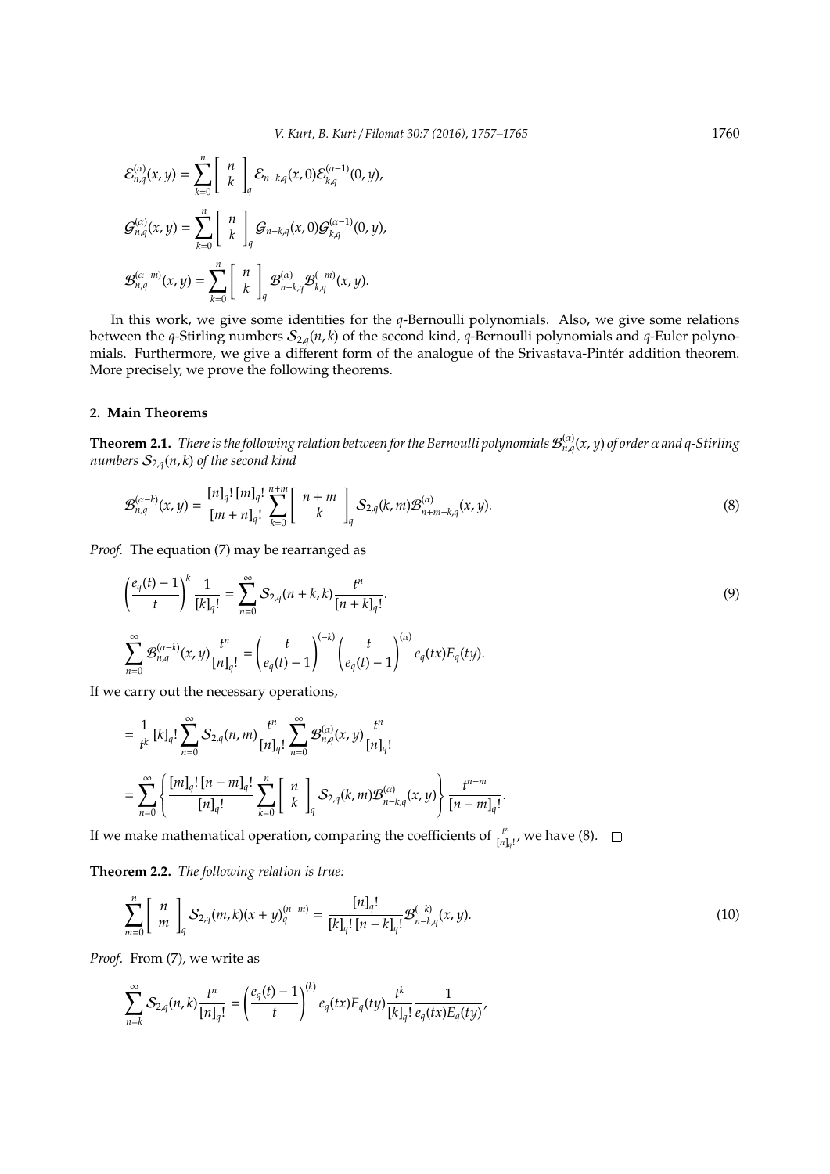$$
\mathcal{E}_{n,q}^{(\alpha)}(x,y) = \sum_{k=0}^{n} \left[ \begin{array}{c} n \\ k \end{array} \right]_{q} \mathcal{E}_{n-k,q}(x,0) \mathcal{E}_{k,q}^{(\alpha-1)}(0,y),
$$
  

$$
\mathcal{G}_{n,q}^{(\alpha)}(x,y) = \sum_{k=0}^{n} \left[ \begin{array}{c} n \\ k \end{array} \right]_{q} \mathcal{G}_{n-k,q}(x,0) \mathcal{G}_{k,q}^{(\alpha-1)}(0,y),
$$
  

$$
\mathcal{B}_{n,q}^{(\alpha-m)}(x,y) = \sum_{k=0}^{n} \left[ \begin{array}{c} n \\ k \end{array} \right]_{q} \mathcal{B}_{n-k,q}^{(\alpha)} \mathcal{B}_{k,q}^{(-m)}(x,y).
$$

In this work, we give some identities for the *q*-Bernoulli polynomials. Also, we give some relations between the *q*-Stirling numbers  $S_{2,q}(n, k)$  of the second kind, *q*-Bernoulli polynomials and *q*-Euler polynomials. Furthermore, we give a different form of the analogue of the Srivastava-Pintér addition theorem. More precisely, we prove the following theorems.

#### **2. Main Theorems**

**Theorem 2.1.** *There is the following relation between for the Bernoulli polynomials*  $\mathcal{B}_{n,q}^{(\alpha)}(x,y)$  *of order*  $\alpha$  *and q-Stirling numbers*  $S_{2,q}(n, k)$  *of the second kind* 

$$
\mathcal{B}_{n,q}^{(\alpha-k)}(x,y) = \frac{[n]_q! [m]_q!}{[m+n]_q!} \sum_{k=0}^{n+m} \left[ \begin{array}{c} n+m \\ k \end{array} \right]_q S_{2,q}(k,m) \mathcal{B}_{n+m-k,q}^{(\alpha)}(x,y). \tag{8}
$$

*Proof.* The equation (7) may be rearranged as

$$
\left(\frac{e_q(t)-1}{t}\right)^k \frac{1}{[k]_q!} = \sum_{n=0}^{\infty} S_{2,q}(n+k,k) \frac{t^n}{[n+k]_q!}.
$$
\n
$$
\sum_{n=0}^{\infty} \mathcal{B}_{n,q}^{(\alpha-k)}(x,y) \frac{t^n}{[n]_q!} = \left(\frac{t}{e_q(t)-1}\right)^{(-k)} \left(\frac{t}{e_q(t)-1}\right)^{(\alpha)} e_q(tx) E_q(ty).
$$
\n(9)

If we carry out the necessary operations,

$$
= \frac{1}{t^k} [k]_q! \sum_{n=0}^{\infty} S_{2,q}(n,m) \frac{t^n}{[n]_q!} \sum_{n=0}^{\infty} \mathcal{B}_{n,q}^{(\alpha)}(x,y) \frac{t^n}{[n]_q!} = \sum_{n=0}^{\infty} \left\{ \frac{[m]_q! [n-m]_q!}{[n]_q!} \sum_{k=0}^n \begin{bmatrix} n \\ k \end{bmatrix}_q S_{2,q}(k,m) \mathcal{B}_{n-k,q}^{(\alpha)}(x,y) \right\} \frac{t^{n-m}}{[n-m]_q!}.
$$

If we make mathematical operation, comparing the coefficients of  $\frac{f^n}{[n]}$  $\frac{t^{\alpha}}{[n]_q!}$ , we have (8).

**Theorem 2.2.** *The following relation is true:*

$$
\sum_{m=0}^{n} \begin{bmatrix} n \\ m \end{bmatrix}_{q} S_{2,q}(m,k)(x+y)_{q}^{(n-m)} = \frac{[n]_{q}!}{[k]_{q}! [n-k]_{q}!} \mathcal{B}_{n-k,q}^{(-k)}(x,y). \tag{10}
$$

*Proof.* From (7), we write as

$$
\sum_{n=k}^{\infty} S_{2,q}(n,k) \frac{t^n}{[n]_q!} = \left(\frac{e_q(t)-1}{t}\right)^{(k)} e_q(tx) E_q(ty) \frac{t^k}{[k]_q!} \frac{1}{e_q(tx) E_q(ty)},
$$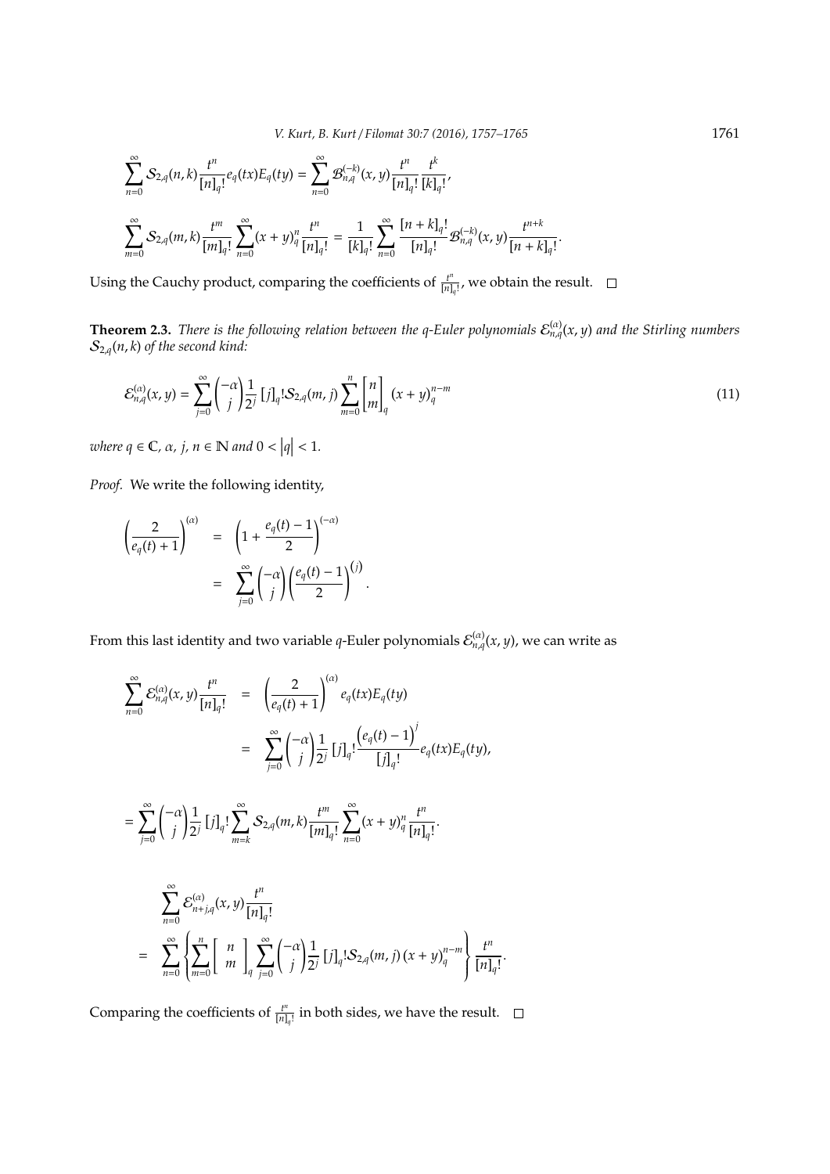*V. Kurt, B. Kurt* / *Filomat 30:7 (2016), 1757–1765* 1761

$$
\begin{split} &\sum_{n=0}^{\infty}\mathcal{S}_{2,q}(n,k)\frac{t^n}{[n]_q!}e_q(tx)E_q(t y)=\sum_{n=0}^{\infty}\mathcal{B}_{n,q}^{(-k)}(x,y)\frac{t^n}{[n]_q!}\frac{t^k}{[k]_q!},\\ &\sum_{m=0}^{\infty}\mathcal{S}_{2,q}(m,k)\frac{t^m}{[m]_q!}\sum_{n=0}^{\infty}(x+y)_q^n\frac{t^n}{[n]_q!}=\frac{1}{[k]_q!}\sum_{n=0}^{\infty}\frac{[n+k]_q!}{[n]_q!}\mathcal{B}_{n,q}^{(-k)}(x,y)\frac{t^{n+k}}{[n+k]_q!}. \end{split}
$$

Using the Cauchy product, comparing the coefficients of  $\frac{t^n}{[n]}$  $\frac{t^{n}}{[n]_q!}$ , we obtain the result.

**Theorem 2.3.** There is the following relation between the q-Euler polynomials  $\mathcal{E}_{n,q}^{(\alpha)}(x,y)$  and the Stirling numbers  $\mathcal{S}_{2,q}(n,k)$  of the second kind:

$$
\mathcal{E}_{n,q}^{(\alpha)}(x,y) = \sum_{j=0}^{\infty} {\binom{-\alpha}{j}} \frac{1}{2^j} [j]_q! \mathcal{S}_{2,q}(m,j) \sum_{m=0}^{n} {\binom{n}{m}}_q (x+y)_q^{n-m}
$$
(11)

where  $q \in \mathbb{C}$ ,  $\alpha$ ,  $j, n \in \mathbb{N}$  and  $0 < |q| < 1$ .

*Proof.* We write the following identity,

$$
\left(\frac{2}{e_q(t)+1}\right)^{(\alpha)} = \left(1+\frac{e_q(t)-1}{2}\right)^{(-\alpha)}
$$

$$
= \sum_{j=0}^{\infty} {\binom{-\alpha}{j}} \left(\frac{e_q(t)-1}{2}\right)^{(j)}.
$$

From this last identity and two variable *q*-Euler polynomials  $\mathcal{E}_{n,q}^{(\alpha)}(x,y)$ , we can write as

$$
\sum_{n=0}^{\infty} \mathcal{E}_{n,q}^{(\alpha)}(x,y) \frac{t^n}{[n]_q!} = \left(\frac{2}{e_q(t)+1}\right)^{(\alpha)} e_q(tx) E_q(ty)
$$
  
\n
$$
= \sum_{j=0}^{\infty} {\binom{-\alpha}{j}} \frac{1}{2^j} [j]_q! \frac{e_q(t)-1)^j}{[j]_q!} e_q(tx) E_q(ty),
$$
  
\n
$$
= \sum_{j=0}^{\infty} {\binom{-\alpha}{j}} \frac{1}{2^j} [j]_q! \sum_{m=k}^{\infty} S_{2,q}(m,k) \frac{t^m}{[m]_q!} \sum_{n=0}^{\infty} (x+y)_q^n \frac{t^n}{[n]_q!}.
$$
  
\n
$$
= \sum_{n=0}^{\infty} \mathcal{E}_{n+j,q}^{(\alpha)}(x,y) \frac{t^n}{[n]_q!}
$$
  
\n
$$
= \sum_{n=0}^{\infty} {\binom{n}{m}} \frac{1}{q} \sum_{j=0}^{\infty} {\binom{-\alpha}{j}} \frac{1}{2^j} [j]_q! S_{2,q}(m,j) (x+y)_q^{n-m} \frac{t^n}{[n]_q!}.
$$

Comparing the coefficients of  $\frac{t^n}{[n]}$  $\frac{t^n}{[n]_q!}$  in both sides, we have the result.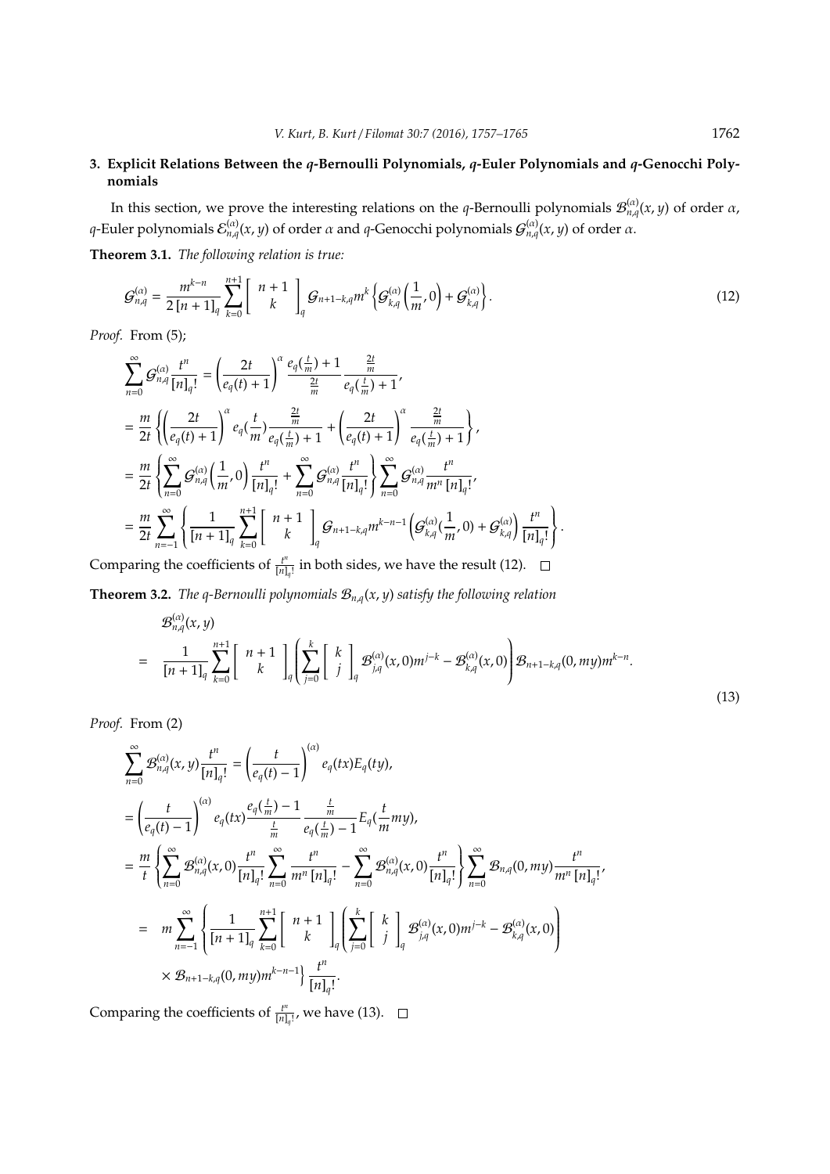# **3. Explicit Relations Between the** *q***-Bernoulli Polynomials,** *q***-Euler Polynomials and** *q***-Genocchi Polynomials**

In this section, we prove the interesting relations on the *q*-Bernoulli polynomials  $\mathcal{B}^{(\alpha)}_{n,q}(x,y)$  of order  $\alpha$ , *q*-Euler polynomials  $\mathcal{E}_{n,q}^{(\alpha)}(x,y)$  of order α and *q*-Genocchi polynomials  $\mathcal{G}_{n,q}^{(\alpha)}(x,y)$  of order α.

**Theorem 3.1.** *The following relation is true:*

$$
G_{n,q}^{(\alpha)} = \frac{m^{k-n}}{2[n+1]_q} \sum_{k=0}^{n+1} \left[ \begin{array}{c} n+1 \\ k \end{array} \right]_q G_{n+1-k,q} m^k \left\{ G_{k,q}^{(\alpha)} \left( \frac{1}{m}, 0 \right) + G_{k,q}^{(\alpha)} \right\}.
$$
 (12)

*Proof.* From (5);

$$
\begin{split} &\sum_{n=0}^{\infty}\mathcal{G}_{n,q}^{(\alpha)}\frac{t^n}{[n]_q!}=\left(\frac{2t}{e_q(t)+1}\right)^{\alpha}\frac{e_q(\frac{t}{m})+1}{\frac{2t}{m}}\frac{\frac{2t}{m}}{e_q(\frac{t}{m})+1},\\ &=\frac{m}{2t}\left\{\left(\frac{2t}{e_q(t)+1}\right)^{\alpha}e_q(\frac{t}{m})\frac{\frac{2t}{m}}{e_q(\frac{t}{m})+1}+\left(\frac{2t}{e_q(t)+1}\right)^{\alpha}\frac{\frac{2t}{m}}{e_q(\frac{t}{m})+1}\right\},\\ &=\frac{m}{2t}\left\{\sum_{n=0}^{\infty}\mathcal{G}_{n,q}^{(\alpha)}\left(\frac{1}{m},0\right)\frac{t^n}{[n]_q!}+\sum_{n=0}^{\infty}\mathcal{G}_{n,q}^{(\alpha)}\frac{t^n}{[n]_q!}\right\}\sum_{n=0}^{\infty}\mathcal{G}_{n,q}^{(\alpha)}\frac{t^n}{m^n\left[n\right]_q!},\\ &=\frac{m}{2t}\sum_{n=-1}^{\infty}\left\{\frac{1}{[n+1]_q}\sum_{k=0}^{n+1}\left[\begin{array}{c}n+1\\k\end{array}\right]_{q}\mathcal{G}_{n+1-k,q}m^{k-n-1}\left(\mathcal{G}_{k,q}^{(\alpha)}(\frac{1}{m},0)+\mathcal{G}_{k,q}^{(\alpha)}\right)\frac{t^n}{[n]_q!}\right\}. \end{split}
$$

Comparing the coefficients of  $\frac{t^n}{[n]}$  $\frac{t^{\alpha}}{[n]_q!}$  in both sides, we have the result (12).

**Theorem 3.2.** *The q-Bernoulli polynomials* B*n*,*q*(*x*, *y*) *satisfy the following relation*

$$
\mathcal{B}_{n,q}^{(\alpha)}(x,y) = \frac{1}{[n+1]_q} \sum_{k=0}^{n+1} \begin{bmatrix} n+1 \\ k \end{bmatrix} \left[ \sum_{j=0}^k \begin{bmatrix} k \\ j \end{bmatrix}_{q} \mathcal{B}_{j,q}^{(\alpha)}(x,0) m^{j-k} - \mathcal{B}_{k,q}^{(\alpha)}(x,0) \right] \mathcal{B}_{n+1-k,q}(0,my) m^{k-n}.
$$
\n(13)

*Proof.* From (2)

(α)

$$
\sum_{n=0}^{\infty} \mathcal{B}_{n,q}^{(\alpha)}(x,y) \frac{t^n}{[n]_q!} = \left(\frac{t}{e_q(t)-1}\right)^{(\alpha)} e_q(tx) E_q(ty),
$$
\n
$$
= \left(\frac{t}{e_q(t)-1}\right)^{(\alpha)} e_q(tx) \frac{e_q(\frac{t}{m})-1}{\frac{t}{m}} \frac{\frac{t}{m}}{e_q(\frac{t}{m})-1} E_q(\frac{t}{m}my),
$$
\n
$$
= \frac{m}{t} \left\{ \sum_{n=0}^{\infty} \mathcal{B}_{n,q}^{(\alpha)}(x,0) \frac{t^n}{[n]_q!} \sum_{n=0}^{\infty} \frac{t^n}{m^n [n]_q!} - \sum_{n=0}^{\infty} \mathcal{B}_{n,q}^{(\alpha)}(x,0) \frac{t^n}{[n]_q!} \right\} \sum_{n=0}^{\infty} \mathcal{B}_{n,q}(0,my) \frac{t^n}{m^n [n]_q!},
$$
\n
$$
= m \sum_{n=-1}^{\infty} \left\{ \frac{1}{[n+1]_q} \sum_{k=0}^{n+1} \begin{bmatrix} n+1 \\ k \end{bmatrix}_q \left[ \sum_{j=0}^k \begin{bmatrix} k \\ j \end{bmatrix}_q \mathcal{B}_{j,q}^{(\alpha)}(x,0)m^{j-k} - \mathcal{B}_{k,q}^{(\alpha)}(x,0) \right) \right.
$$
\n
$$
\times \mathcal{B}_{n+1-k,q}(0,my)m^{k-n-1} \left\{ \frac{t^n}{[n]_q!} \right\}.
$$

Comparing the coefficients of  $\frac{t^n}{[n]}$  $\frac{t^{\alpha}}{[n]_q!}$ , we have (13).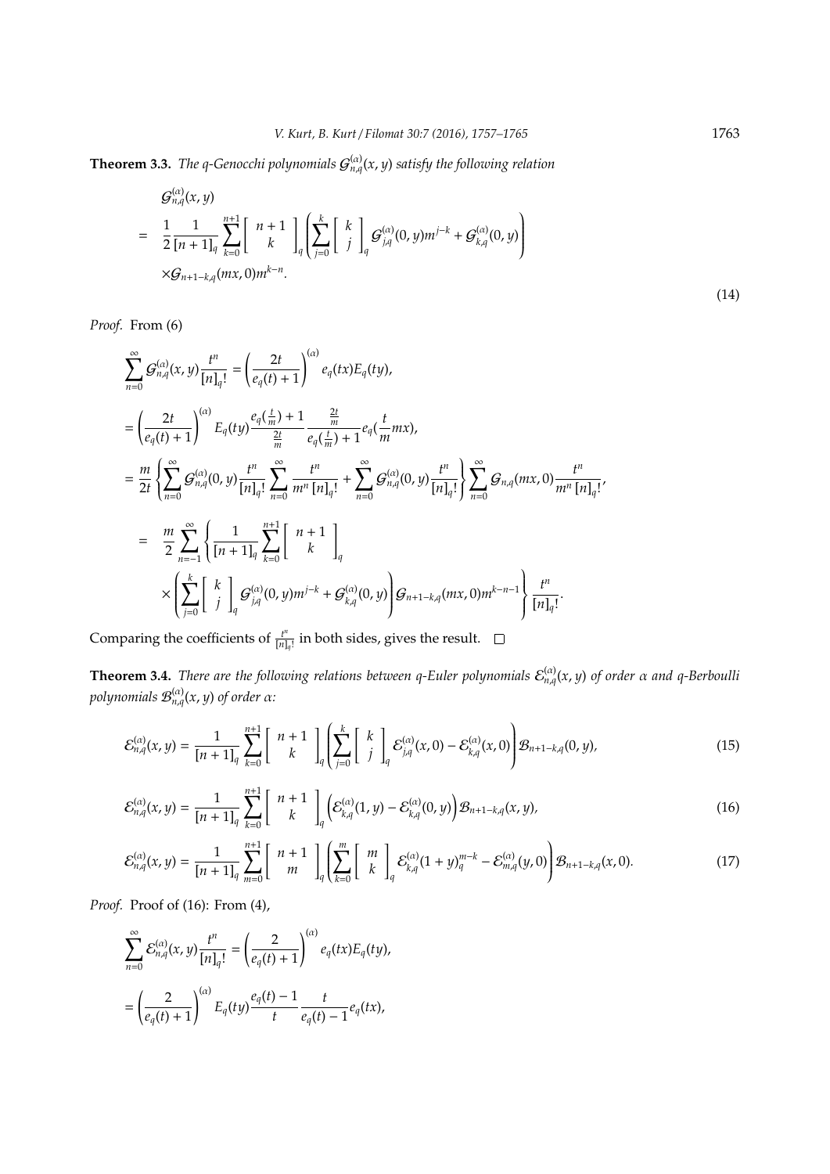**Theorem 3.3.** *The q-Genocchi polynomials*  $G_{n,q}^{(\alpha)}(x,y)$  *satisfy the following relation* 

$$
\mathcal{G}_{n,q}^{(\alpha)}(x,y) = \frac{1}{2} \frac{1}{[n+1]_q} \sum_{k=0}^{n+1} \begin{bmatrix} n+1 \\ k \end{bmatrix} \left[ \sum_{j=0}^k \begin{bmatrix} k \\ j \end{bmatrix}_{q} \mathcal{G}_{j,q}^{(\alpha)}(0,y) m^{j-k} + \mathcal{G}_{k,q}^{(\alpha)}(0,y) \right)
$$
  
 
$$
\times \mathcal{G}_{n+1-k,q}(mx,0) m^{k-n}.
$$
 (14)

*Proof.* From (6)

$$
\sum_{n=0}^{\infty} G_{n,q}^{(\alpha)}(x,y) \frac{t^n}{[n]_q!} = \left(\frac{2t}{e_q(t)+1}\right)^{(\alpha)} e_q(tx) E_q(ty),
$$
\n
$$
= \left(\frac{2t}{e_q(t)+1}\right)^{(\alpha)} E_q(ty) \frac{e_q(\frac{t}{m})+1}{\frac{2t}{m}} \frac{\frac{2t}{m}}{e_q(\frac{t}{m})+1} e_q(\frac{t}{m}mx),
$$
\n
$$
= \frac{m}{2t} \left\{ \sum_{n=0}^{\infty} G_{n,q}^{(\alpha)}(0,y) \frac{t^n}{[n]_q!} \sum_{n=0}^{\infty} \frac{t^n}{m^n [n]_q!} + \sum_{n=0}^{\infty} G_{n,q}^{(\alpha)}(0,y) \frac{t^n}{[n]_q!} \right\} \sum_{n=0}^{\infty} G_{n,q}(mx,0) \frac{t^n}{m^n [n]_q}
$$
\n
$$
= \frac{m}{2} \sum_{n=-1}^{\infty} \left\{ \frac{1}{[n+1]_q} \sum_{k=0}^{n+1} \begin{bmatrix} n+1 \\ k \end{bmatrix}_q
$$
\n
$$
\times \left( \sum_{j=0}^k \begin{bmatrix} k \\ j \end{bmatrix}_q G_{j,q}^{(\alpha)}(0,y) m^{j-k} + G_{k,q}^{(\alpha)}(0,y) \right) G_{n+1-k,q}(mx,0) m^{k-n-1} \right\} \frac{t^n}{[n]_q!}.
$$

Comparing the coefficients of  $\frac{t^n}{[n]}$  $\frac{t^{\alpha}}{[n]_q!}$  in both sides, gives the result.

**Theorem 3.4.** *There are the following relations between q-Euler polynomials*  $\mathcal{E}_{n,q}^{(\alpha)}(x,y)$  *of order*  $\alpha$  *and q-Berboulli polynomials*  $\mathcal{B}^{(\alpha)}_{n,q}(x,y)$  *of order α:* 

$$
\mathcal{E}_{n,q}^{(\alpha)}(x,y) = \frac{1}{[n+1]_q} \sum_{k=0}^{n+1} \left[ \begin{array}{c} n+1 \\ k \end{array} \right]_q \left[ \sum_{j=0}^k \left[ \begin{array}{c} k \\ j \end{array} \right]_q \mathcal{E}_{j,q}^{(\alpha)}(x,0) - \mathcal{E}_{k,q}^{(\alpha)}(x,0) \right] \mathcal{B}_{n+1-k,q}(0,y), \tag{15}
$$

$$
\mathcal{E}_{n,q}^{(\alpha)}(x,y) = \frac{1}{[n+1]_q} \sum_{k=0}^{n+1} \left[ \begin{array}{c} n+1 \\ k \end{array} \right]_q \left( \mathcal{E}_{k,q}^{(\alpha)}(1,y) - \mathcal{E}_{k,q}^{(\alpha)}(0,y) \right) \mathcal{B}_{n+1-k,q}(x,y), \tag{16}
$$

$$
\mathcal{E}_{n,q}^{(\alpha)}(x,y) = \frac{1}{[n+1]_q} \sum_{m=0}^{n+1} \left[ \begin{array}{c} n+1 \\ m \end{array} \right]_q \left[ \sum_{k=0}^m \left[ \begin{array}{c} m \\ k \end{array} \right]_q \mathcal{E}_{k,q}^{(\alpha)}(1+y)_q^{m-k} - \mathcal{E}_{m,q}^{(\alpha)}(y,0) \right] \mathcal{B}_{n+1-k,q}(x,0). \tag{17}
$$

*Proof.* Proof of (16): From (4),

$$
\sum_{n=0}^{\infty} \mathcal{E}_{n,q}^{(\alpha)}(x,y) \frac{t^n}{[n]_q!} = \left(\frac{2}{e_q(t)+1}\right)^{(\alpha)} e_q(tx) E_q(ty),
$$
  
= 
$$
\left(\frac{2}{e_q(t)+1}\right)^{(\alpha)} E_q(ty) \frac{e_q(t)-1}{t} \frac{t}{e_q(t)-1} e_q(tx),
$$

! ,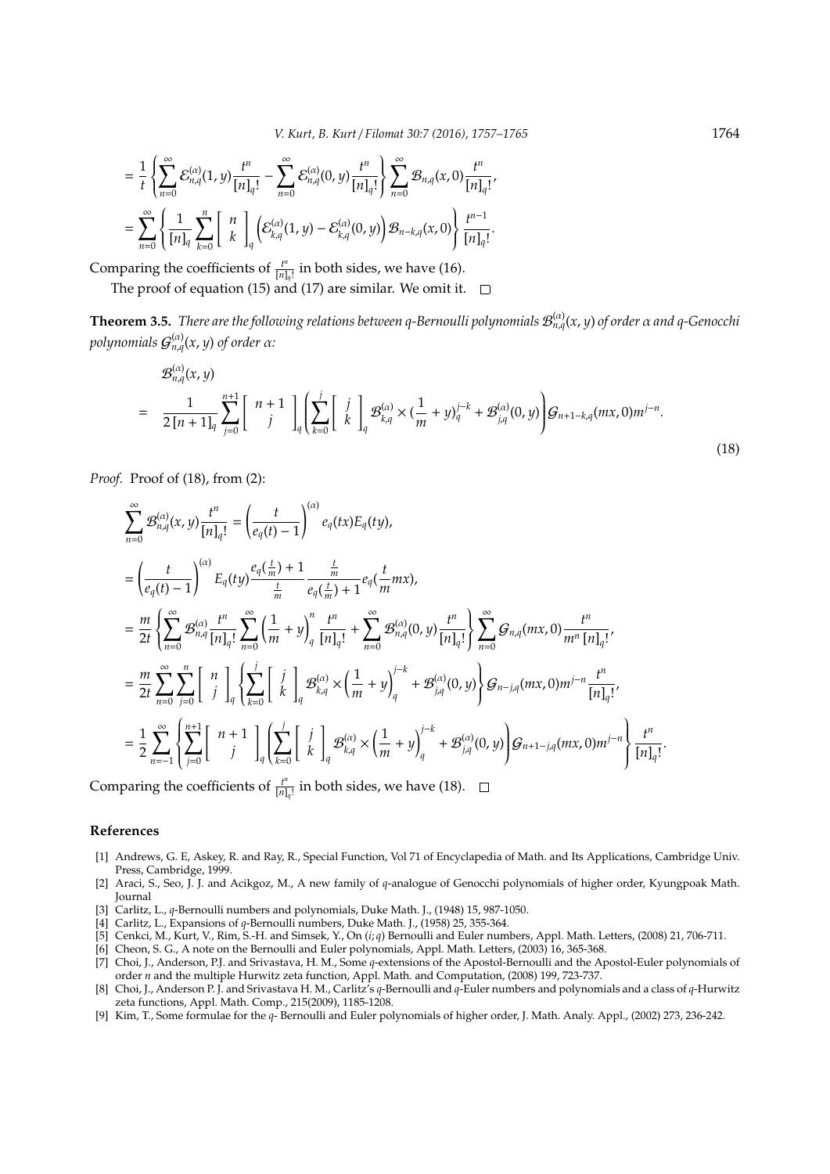$$
= \frac{1}{t}\left\{\sum_{n=0}^{\infty}\mathcal{E}_{n,q}^{(\alpha)}(1,y)\frac{t^n}{[n]_q!} - \sum_{n=0}^{\infty}\mathcal{E}_{n,q}^{(\alpha)}(0,y)\frac{t^n}{[n]_q!}\right\}\sum_{n=0}^{\infty}\mathcal{B}_{n,q}(x,0)\frac{t^n}{[n]_q!},
$$
  

$$
= \sum_{n=0}^{\infty}\left\{\frac{1}{[n]_q}\sum_{k=0}^n\left[\begin{array}{c}n\\k\end{array}\right]_q\left(\mathcal{E}_{k,q}^{(\alpha)}(1,y)-\mathcal{E}_{k,q}^{(\alpha)}(0,y)\right)\mathcal{B}_{n-k,q}(x,0)\right\}\frac{t^n}{[n]_q!}.
$$

Comparing the coefficients of  $\frac{t^n}{[n]}$  $\frac{t^n}{[n]_q!}$  in both sides, we have (16).

The proof of equation (15) and (17) are similar. We omit it.  $\square$ 

**Theorem 3.5.** *There are the following relations between q-Bernoulli polynomials*  $\mathcal{B}^{(\alpha)}_{n,q}(x,y)$  *of order*  $\alpha$  *and q-Genocchi polynomials*  $G_{n,q}^{(\alpha)}(x,y)$  *of order α:* 

$$
\mathcal{B}_{n,q}^{(\alpha)}(x,y) = \frac{1}{2\left[n+1\right]_q} \sum_{j=0}^{n+1} \begin{bmatrix} n+1 \\ j \end{bmatrix}_q \left[ \sum_{k=0}^j \begin{bmatrix} j \\ k \end{bmatrix}_q \mathcal{B}_{k,q}^{(\alpha)} \times \left( \frac{1}{m} + y \right)_q^{j-k} + \mathcal{B}_{j,q}^{(\alpha)}(0,y) \right] \mathcal{G}_{n+1-k,q}(mx,0)m^{j-n}.
$$
\n(18)

*Proof.* Proof of (18), from (2):

$$
\begin{split} &\sum_{n=0}^{\infty}\mathcal{B}_{n,q}^{(\alpha)}(x,y)\frac{t^{n}}{[n]_{q}!}=\left(\frac{t}{e_{q}(t)-1}\right)^{(\alpha)}e_{q}(tx)E_{q}(ty),\\ &=\left(\frac{t}{e_{q}(t)-1}\right)^{(\alpha)}E_{q}(ty)\frac{e_{q}(\frac{t}{m})+1}{\frac{t}{m}}\frac{\frac{t}{m}}{e_{q}(\frac{t}{m})+1}e_{q}(\frac{t}{m}mx),\\ &=\frac{m}{2t}\left\{\sum_{n=0}^{\infty}\mathcal{B}_{n,q}^{(\alpha)}\frac{t^{n}}{[n]_{q}!}\sum_{n=0}^{\infty}\left(\frac{1}{m}+y\right)_{q}^{n}\frac{t^{n}}{[n]_{q}!}+\sum_{n=0}^{\infty}\mathcal{B}_{n,q}^{(\alpha)}(0,y)\frac{t^{n}}{[n]_{q}!}\right\}\sum_{n=0}^{\infty}\mathcal{G}_{n,q}(mx,0)\frac{t^{n}}{m^{n}[n]_{q}!},\\ &=\frac{m}{2t}\sum_{n=0}^{\infty}\sum_{j=0}^{n}\left[\begin{array}{c}n\\j\end{array}\right]_{q}\left\{\sum_{k=0}^{j}\left[\begin{array}{c}j\\k\end{array}\right]_{q}\mathcal{B}_{k,q}^{(\alpha)}\times\left(\frac{1}{m}+y\right)_{q}^{j-k}+\mathcal{B}_{j,q}^{(\alpha)}(0,y)\right\}\mathcal{G}_{n-j,q}(mx,0)m^{j-n}\frac{t^{n}}{[n]_{q}!},\\ &=\frac{1}{2}\sum_{n=-1}^{\infty}\left\{\sum_{j=0}^{n+1}\left[\begin{array}{c}n+1\\j\end{array}\right]_{q}\left(\sum_{k=0}^{j}\left[\begin{array}{c}j\\k\end{array}\right]_{q}\mathcal{B}_{k,q}^{(\alpha)}\times\left(\frac{1}{m}+y\right)_{q}^{j-k}+\mathcal{B}_{j,q}^{(\alpha)}(0,y)\right)\mathcal{G}_{n+1-j,q}(mx,0)m^{j-n}\right\}\frac{t^{n}}{[n]_{q}!}.\end{split}
$$

Comparing the coefficients of  $\frac{t^n}{[n]}$  $\frac{t^n}{[n]_q!}$  in both sides, we have (18).

## **References**

- [1] Andrews, G. E, Askey, R. and Ray, R., Special Function, Vol 71 of Encyclapedia of Math. and Its Applications, Cambridge Univ. Press, Cambridge, 1999.
- [2] Araci, S., Seo, J. J. and Acikgoz, M., A new family of *q*-analogue of Genocchi polynomials of higher order, Kyungpoak Math. Journal
- [3] Carlitz, L., *q*-Bernoulli numbers and polynomials, Duke Math. J., (1948) 15, 987-1050.
- [4] Carlitz, L., Expansions of *q*-Bernoulli numbers, Duke Math. J., (1958) 25, 355-364.
- [5] Cenkci, M., Kurt, V., Rim, S.-H. and Simsek, Y., On (*i*; *q*) Bernoulli and Euler numbers, Appl. Math. Letters, (2008) 21, 706-711.
- [6] Cheon, S. G., A note on the Bernoulli and Euler polynomials, Appl. Math. Letters, (2003) 16, 365-368. [7] Choi, J., Anderson, P.J. and Srivastava, H. M., Some *q*-extensions of the Apostol-Bernoulli and the Apostol-Euler polynomials of
- order *n* and the multiple Hurwitz zeta function, Appl. Math. and Computation, (2008) 199, 723-737. [8] Choi, J., Anderson P. J. and Srivastava H. M., Carlitz's *q*-Bernoulli and *q*-Euler numbers and polynomials and a class of *q*-Hurwitz zeta functions, Appl. Math. Comp., 215(2009), 1185-1208.
- [9] Kim, T., Some formulae for the *q* Bernoulli and Euler polynomials of higher order, J. Math. Analy. Appl., (2002) 273, 236-242.